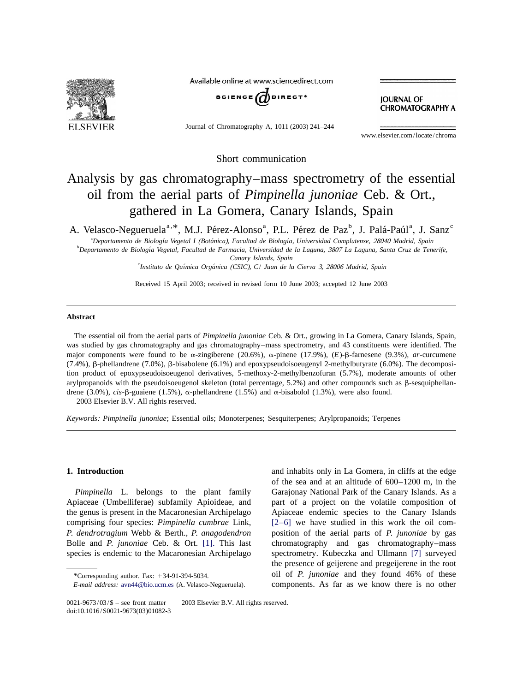

Available online at www.sciencedirect.com



Journal of Chromatography A, 1011 (2003) 241–244

**JOURNAL OF CHROMATOGRAPHY A** 

www.elsevier.com/locate/chroma

Short communication

# Analysis by gas chromatography–mass spectrometry of the essential oil from the aerial parts of *Pimpinella junoniae* Ceb. & Ort., gathered in La Gomera, Canary Islands, Spain

A. Velasco-Negueruela<sup>a, \*</sup>, M.J. Pérez-Alonso<sup>a</sup>, P.L. Pérez de Paz<sup>b</sup>, J. Palá-Paúl<sup>a</sup>, J. Sanz<sup>c</sup>

a *Departamento de Biologıa Vegetal I ´´ ´* (*Botanica*), *Facultad de Biologıa*, *Universidad Complutense*, <sup>28040</sup> *Madrid*, *Spain*

b *Departamento de Biologıa Vegetal ´* , *Facultad de Farmacia*, *Universidad de la Laguna*, <sup>3807</sup> *La Laguna*, *Santa Cruz de Tenerife*, *Canary Islands*, *Spain*

c *Instituto de Quımica Organica ´ ´* (*CSIC*), *C*/ *Juan de la Cierva* 3, <sup>28006</sup> *Madrid*, *Spain*

Received 15 April 2003; received in revised form 10 June 2003; accepted 12 June 2003

# **Abstract**

The essential oil from the aerial parts of *Pimpinella junoniae* Ceb. & Ort., growing in La Gomera, Canary Islands, Spain, was studied by gas chromatography and gas chromatography–mass spectrometry, and 43 constituents were identified. The major components were found to be  $\alpha$ -zingiberene (20.6%),  $\alpha$ -pinene (17.9%),  $(E)$ - $\beta$ -farnesene (9.3%), *ar*-curcumene  $(7.4\%)$ ,  $\beta$ -phellandrene  $(7.0\%)$ ,  $\beta$ -bisabolene  $(6.1\%)$  and epoxypseudoisoeugenyl 2-methylbutyrate  $(6.0\%)$ . The decomposition product of epoxypseudoisoeugenol derivatives, 5-methoxy-2-methylbenzofuran (5.7%), moderate amounts of other arylpropanoids with the pseudoisoeugenol skeleton (total percentage,  $5.2\%$ ) and other compounds such as  $\beta$ -sesquiphellandrene (3.0%), *cis*- $\beta$ -guaiene (1.5%),  $\alpha$ -phellandrene (1.5%) and  $\alpha$ -bisabolol (1.3%), were also found. 2003 Elsevier B.V. All rights reserved.

*Keywords*: *Pimpinella junoniae*; Essential oils; Monoterpenes; Sesquiterpenes; Arylpropanoids; Terpenes

**1. Introduction** and inhabits only in La Gomera, in cliffs at the edge of the sea and at an altitude of 600–1200 m, in the *Pimpinella* L. belongs to the plant family Garajonay National Park of the Canary Islands. As a Apiaceae (Umbelliferae) subfamily Apioideae, and part of a project on the volatile composition of the genus is present in the Macaronesian Archipelago Apiaceae endemic species to the Canary Islands comprising four species: *Pimpinella cumbrae* Link, [\[2–6\]](#page-2-0) we have studied in this work the oil com-*P*. *dendrotragium* Webb & Berth., *P*. *anagodendron* position of the aerial parts of *P*. *junoniae* by gas Bolle and *P*. *junoniae* Ceb. & Ort. [\[1\].](#page-2-0) This last chromatography and gas chromatography–mass species is endemic to the Macaronesian Archipelago spectrometry. Kubeczka and Ullmann [\[7\]](#page-3-0) surveyed the presence of geijerene and pregeijerene in the root *\**Corresponding author. Fax: <sup>1</sup>34-91-394-5034. oil of *P*. *junoniae* and they found 46% of these *E*-*mail address*: [avn44@bio.ucm.es](mailto:avn44@bio.ucm.es) (A. Velasco-Negueruela). components. As far as we know there is no other

 $0021-9673/03/\$$  – see front matter  $\degree$  2003 Elsevier B.V. All rights reserved. doi:10.1016/S0021-9673(03)01082-3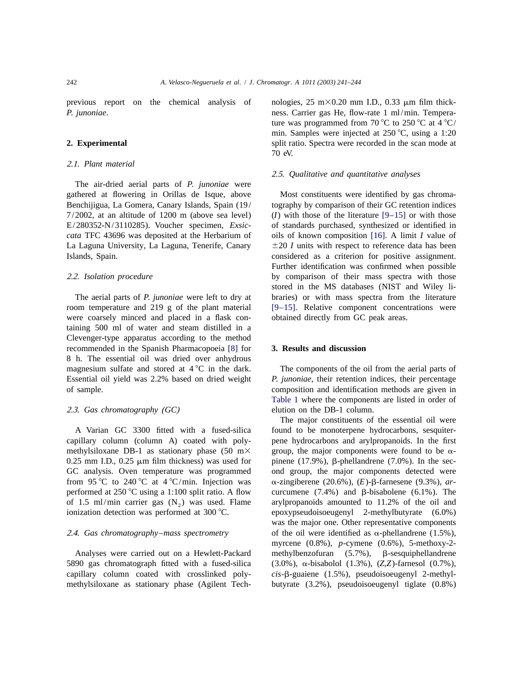previous report on the chemical analysis of nologies,  $25 \text{ m} \times 0.20 \text{ mm}$  I.D., 0.33  $\mu$ m film thick-

# 2 .1. *Plant material*

The air-dried aerial parts of *P*. *junoniae* were gathered at flowering in Orillas de Isque, above Most constituents were identified by gas chroma-Benchijigua, La Gomera, Canary Islands, Spain (19/ tography by comparison of their GC retention indices 7/2002, at an altitude of 1200 m (above sea level) (*I*) with those of the literature [\[9–15\]](#page-3-0) or with those E/280352-N/3110285). Voucher specimen, *Exsic*- of standards purchased, synthesized or identified in *cata* TFC 43696 was deposited at the Herbarium of oils of known composition [\[16\].](#page-3-0) A limit *I* value of La Laguna University, La Laguna, Tenerife, Canary  $\pm 20$  *I* units with respect to reference data has been Islands, Spain. considered as a criterion for positive assignment.

were coarsely minced and placed in a flask con- obtained directly from GC peak areas. taining 500 ml of water and steam distilled in a Clevenger-type apparatus according to the method recommended in the Spanish Pharmacopoeia [\[8\]](#page-3-0) for **3. Results and discussion** 8 h. The essential oil was dried over anhydrous magnesium sulfate and stored at  $4^{\circ}C$  in the dark. The components of the oil from the aerial parts of Essential oil yield was 2.2% based on dried weight *P*. *junoniae*, their retention indices, their percentage of sample. composition and identification methods are given in

capillary column (column A) coated with poly- pene hydrocarbons and arylpropanoids. In the first methylsiloxane DB-1 as stationary phase (50 m $\times$  group, the major components were found to be  $\alpha$ -0.25 mm I.D., 0.25  $\mu$ m film thickness) was used for pinene (17.9%),  $\beta$ -phellandrene (7.0%). In the sec-GC analysis. Oven temperature was programmed ond group, the major components detected were from 95 °C to 240 °C at 4 °C/min. Injection was  $\alpha$ -zingiberene (20.6%), (E)- $\beta$ -farnesene (9.3%), *ar*performed at 250 °C using a 1:100 split ratio. A flow curcumene  $(7.4%)$  and  $\beta$ -bisabolene (6.1%). The

5890 gas chromatograph fitted with a fused-silica (3.0%), a-bisabolol (1.3%), (*Z*,*Z*)-farnesol (0.7%), capillary column coated with crosslinked poly- *cis*- $\beta$ -guaiene (1.5%), pseudoisoeugenyl 2-methylmethylsiloxane as stationary phase (Agilent Tech- butyrate (3.2%), pseudoisoeugenyl tiglate (0.8%)

*P*. *junoniae*. ness. Carrier gas He, flow-rate 1 ml/min. Temperature was programmed from 70 °C to 250 °C at  $4$  °C/ min. Samples were injected at  $250^{\circ}$ C, using a 1:20 **2. Experimental** split ratio. Spectra were recorded in the scan mode at 70 eV.

### 2 .5. *Qualitative and quantitative analyses*

Further identification was confirmed when possible 2 .2. *Isolation procedure* by comparison of their mass spectra with those stored in the MS databases (NIST and Wiley li-The aerial parts of *P*. *junoniae* were left to dry at braries) or with mass spectra from the literature room temperature and 219 g of the plant material  $[9-15]$ . Relative component concentrations were

[Table 1](#page-2-0) where the components are listed in order of 2 .3. *Gas chromatography* (*GC*) elution on the DB-1 column.

The major constituents of the essential oil were A Varian GC 3300 fitted with a fused-silica found to be monoterpene hydrocarbons, sesquiterof 1.5 ml/min carrier gas  $(N_2)$  was used. Flame arylpropanoids amounted to 11.2% of the oil and ionization detection was performed at 300 °C. expoxypseudoisoeugenyl 2-methylbutyrate  $(6.0\%)$ epoxypseudoisoeugenyl 2-methylbutyrate (6.0%) was the major one. Other representative components 2 .4. *Gas chromatography*–*mass spectrometry* of the oil were identified as a-phellandrene (1.5%), myrcene (0.8%), *p*-cymene (0.6%), 5-methoxy-2- Analyses were carried out on a Hewlett-Packard methylbenzofuran (5.7%),  $\beta$ -sesquiphellandrene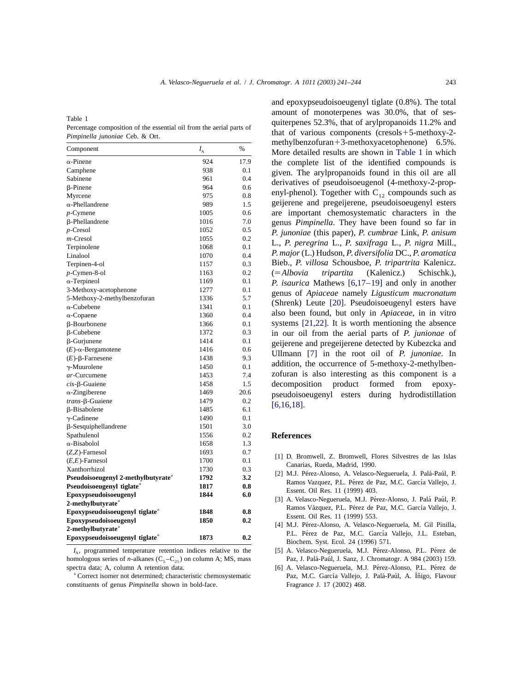*A*. *Velasco*-*Negueruela et al*. / *J*. *Chromatogr*. *A 1011 (2003) 241–244* 243

| Component                                      | $I_{\rm A}$ | $\%$    | $\mu$ in $\mu$ is a set of $\mu$ is $\mu$ in $\mu$ is a set of $\mu$ is a set of $\mu$ is a set of $\mu$ is a set of $\mu$ is a set of $\mu$ is a set of $\mu$ is a set of $\mu$ is a set of $\mu$ is a set of $\mu$ is a set of $\mu$ is a<br>More detailed results are shown in Table 1 in which |
|------------------------------------------------|-------------|---------|----------------------------------------------------------------------------------------------------------------------------------------------------------------------------------------------------------------------------------------------------------------------------------------------------|
| $\alpha$ -Pinene                               | 924         | 17.9    | the complete list of the identified compounds is                                                                                                                                                                                                                                                   |
| Camphene                                       | 938         | 0.1     | given. The arylpropanoids found in this oil are all                                                                                                                                                                                                                                                |
| Sabinene                                       | 961         | 0.4     |                                                                                                                                                                                                                                                                                                    |
| β-Pinene                                       | 964         | 0.6     | derivatives of pseudoisoeugenol (4-methoxy-2-prop-                                                                                                                                                                                                                                                 |
| Myrcene                                        | 975         | 0.8     | enyl-phenol). Together with $C_{12}$ compounds such as                                                                                                                                                                                                                                             |
| α-Phellandrene                                 | 989         | 1.5     | geijerene and pregeijerene, pseudoisoeugenyl esters                                                                                                                                                                                                                                                |
| $p$ -Cymene                                    | 1005        | 0.6     | are important chemosystematic characters in the                                                                                                                                                                                                                                                    |
| β-Phellandrene                                 | 1016        | 7.0     | genus Pimpinella. They have been found so far in                                                                                                                                                                                                                                                   |
| $p$ -Cresol                                    | 1052        | 0.5     | P. junoniae (this paper), P. cumbrae Link, P. anisum                                                                                                                                                                                                                                               |
| m-Cresol                                       | 1055        | 0.2     | L., P. peregrina L., P. saxifraga L., P. nigra Mill.,                                                                                                                                                                                                                                              |
| Terpinolene                                    | 1068        | 0.1     |                                                                                                                                                                                                                                                                                                    |
| Linalool                                       | 1070        | 0.4     | P. major (L.) Hudson, P. diversifolia DC., P. aromatica                                                                                                                                                                                                                                            |
| Terpinen-4-ol                                  | 1157        | 0.3     | Bieb., P. villosa Schousboe, P. tripartrita Kalenicz.                                                                                                                                                                                                                                              |
| p-Cymen-8-ol                                   | 1163        | 0.2     | (Kalenicz.)<br>$(=\!Albovia$<br>tripartita<br>Schischk.),                                                                                                                                                                                                                                          |
| $\alpha$ -Terpineol                            | 1169        | 0.1     | <i>P. isaurica</i> Mathews $[6,17-19]$ and only in another                                                                                                                                                                                                                                         |
| 3-Methoxy-acetophenone                         | 1277        | 0.1     | genus of Apiaceae namely Ligusticum mucronatum                                                                                                                                                                                                                                                     |
| 5-Methoxy-2-methylbenzofuran                   | 1336        | 5.7     | (Shrenk) Leute [20]. Pseudoisoeugenyl esters have                                                                                                                                                                                                                                                  |
| $\alpha$ -Cubebene                             | 1341        | 0.1     |                                                                                                                                                                                                                                                                                                    |
| $\alpha$ -Copaene                              | 1360        | 0.4     | also been found, but only in Apiaceae, in in vitro                                                                                                                                                                                                                                                 |
| β-Bourbonene                                   | 1366        | 0.1     | systems $[21,22]$ . It is worth mentioning the absence                                                                                                                                                                                                                                             |
| $\beta$ -Cubebene                              | 1372        | 0.3     | in our oil from the aerial parts of P. junionae of                                                                                                                                                                                                                                                 |
| β-Gurjunene                                    | 1414        | 0.1     | geijerene and pregeijerene detected by Kubezcka and                                                                                                                                                                                                                                                |
| $(E)$ - $\alpha$ -Bergamotene                  | 1416        | 0.6     | Ullmann [7] in the root oil of P. junoniae. In                                                                                                                                                                                                                                                     |
| $(E)$ -β-Farnesene                             | 1438        | 9.3     |                                                                                                                                                                                                                                                                                                    |
| $\gamma$ -Muurolene                            | 1450        | 0.1     | addition, the occurrence of 5-methoxy-2-methylben-                                                                                                                                                                                                                                                 |
| ar-Curcumene                                   | 1453        | 7.4     | zofuran is also interesting as this component is a                                                                                                                                                                                                                                                 |
| $cis$ - $\beta$ -Guaiene                       | 1458        | 1.5     | decomposition<br>product<br>formed<br>from<br>epoxy-                                                                                                                                                                                                                                               |
| $\alpha$ -Zingiberene                          | 1469        | 20.6    | pseudoisoeugenyl esters<br>during<br>hydrodistillation                                                                                                                                                                                                                                             |
| trans-ß-Guaiene                                | 1479        | $0.2\,$ | $[6,16,18]$ .                                                                                                                                                                                                                                                                                      |
| β-Bisabolene                                   | 1485        | 6.1     |                                                                                                                                                                                                                                                                                                    |
| $\gamma$ -Cadinene                             | 1490        | 0.1     |                                                                                                                                                                                                                                                                                                    |
| β-Sesquiphellandrene                           | 1501        | 3.0     |                                                                                                                                                                                                                                                                                                    |
| Spathulenol                                    | 1556        | 0.2     | <b>References</b>                                                                                                                                                                                                                                                                                  |
| α-Bisabolol                                    | 1658        | 1.3     |                                                                                                                                                                                                                                                                                                    |
| $(Z,Z)$ -Farnesol                              | 1693        | 0.7     | [1] D. Bromwell, Z. Bromwell, Flores Silvestres de las Islas                                                                                                                                                                                                                                       |
| $(E,E)$ -Farnesol                              | 1700        | 0.1     | Canarias, Rueda, Madrid, 1990.                                                                                                                                                                                                                                                                     |
| Xanthorrhizol                                  | 1730        | 0.3     | [2] M.J. Pérez-Alonso, A. Velasco-Negueruela, J. Palá-Paúl, P.                                                                                                                                                                                                                                     |
| Pseudoisoeugenyl 2-methylbutyrate <sup>a</sup> | 1792        | 3.2     | Ramos Vazquez, P.L. Pérez de Paz, M.C. García Vallejo, J.                                                                                                                                                                                                                                          |
| Pseudoisoeugenyl tiglate <sup>a</sup>          | 1817        | 0.8     | Essent. Oil Res. 11 (1999) 403.                                                                                                                                                                                                                                                                    |
| Epoxypseudoisoeugenyl                          | 1844        | 6.0     | [3] A. Velasco-Negueruela, M.J. Pérez-Alonso, J. Palá Paúl, P.                                                                                                                                                                                                                                     |
| 2-methylbutyrate <sup>a</sup>                  |             |         | Ramos Vázquez, P.L. Pérez de Paz, M.C. García Vallejo, J.                                                                                                                                                                                                                                          |
| Epoxypseudoisoeugenyl tiglate <sup>a</sup>     | 1848        | 0.8     | Essent. Oil Res. 11 (1999) 553.                                                                                                                                                                                                                                                                    |
| Epoxypseudoisoeugenyl                          | 1850        | 0.2     | [4] M.J. Pérez-Alonso, A. Velasco-Negueruela, M. Gil Pinilla,                                                                                                                                                                                                                                      |
| 2-methylbutyrate <sup>a</sup>                  |             |         | P.L. Pérez de Paz, M.C. García Vallejo, J.L. Esteban,                                                                                                                                                                                                                                              |
| Epoxypseudoisoeugenyl tiglate <sup>a</sup>     | 1873        | 0.2     | $D_{\text{inab}}$ $\mu_{\text{out}}$ $E_{\text{out}}$ $E_{\text{out}}$ $\gamma$ $\gamma$ $\gamma$ $\gamma$ $\gamma$ $\gamma$                                                                                                                                                                       |

*I*<sub>1</sub>, programmed temperature retention indices relative to the [5] A. Velasco-Negueruela, M.J. Pérez-Alonso, P.L. Pérez de homologous series of *n*-alkanes (C<sub>5</sub>-C<sub>25</sub>) on column A; MS, mass Paz, J. Palá-Paúl, J. Sanz, J. Chromatogr. A 984 (2003) 159.<br>
[6] A. Velasco-Negueruela, M.J. Pérez-Alonso, P.L. Pérez de

constituents of genus *Pimpinella* shown in bold-face. Fragrance J. 17 (2002) 468.

<span id="page-2-0"></span>and epoxypseudoisoeugenyl tiglate (0.8%). The total Table 1<br>
Percentage composition of the essential oil from the aerial parts of<br>
Percentage composition of the essential oil from the aerial parts of<br>
Percentage components (cresols + 5-methoxy-2-<br>
methylbenzofuran + 3-metho More detailed results are shown in Table 1 in which the complete list of the identified compounds is given. The arylpropanoids found in this oil are all derivatives of pseudoisoeugenol (4-methoxy-2-prop-<br>enyl-phenol). Together with  $C_{12}$  compounds such as geijerene and pregeijerene, pseudoisoeugenyl esters are important chemosystematic characters in the genus *Pimpinella*. They have been found so far in P. junoniae (this paper), P. cumbrae Link, P. anisum<br>L., P. peregrina L., P. saxifraga L., P. nigra Mill., P. major (L.) Hudson, P. diversifolia DC., P. aromatica Bieb., *P. villosa* Schousboe, *P. tripartrita* Kalenicz. *P. isaurica* Mathews [6,17–19] and only in another<br>genus of *Apiaceae* namely *Ligusticum mucronatum*<br>(Shrenk) Leute [\[20\].](#page-3-0) Pseudoisoeugenyl esters have also been found, but only in *Apiaceae*, in in vitro systems  $[21,22]$ . It is worth mentioning the absence in our oil from the aerial parts of *P. junionae* of geijerene and pregeijerene detected by Kubezcka and *Ullmann* [\[7\]](#page-3-0) in the root oil of *P. junoniae*. In addition, the occurrence of 5-methoxy-2-methylbenzofuran is also interesting as this component is a decomposition product formed from epoxypseudoisoeugenyl esters during hydrodistillation *[6,16,18]*.

# $References$

- (*Z*,*Z*)-Farnesol 1693 0.7 [1] D . Bromwell, Z. Bromwell, Flores Silvestres de las Islas (*E*,*E*)-Farnesol 1700 0.1 Canarias, Rueda, Madrid, 1990. Xanthorrhizol 1730 0.3
- [2] M.J. Pérez-Alonso, A. Velasco-Negueruela, J. Palá-Paúl, P. Ramos Vazquez, P.L. Pérez de Paz, M.C. García Vallejo, J. Essent. Oil Res. 11 (1999) 403.
- [3] A. Velasco-Negueruela, M.J. Pérez-Alonso, J. Palá Paúl, P. Ramos Vázquez, P.L. Pérez de Paz, M.C. García Vallejo, J. Essent. Oil Res. 11 (1999) 553.
- [4] M.J. Pérez-Alonso, A. Velasco-Negueruela, M. Gil Pinilla, P.L. Pérez de Paz, M.C. García Vallejo, J.L. Esteban, Biochem. Syst. Ecol. 24 (1996) 571.
- 
- [6] A. Velasco-Negueruela, M.J. Pérez-Alonso, P.L. Pérez de a Correct isomer not determined; characteristic chemosystematic Paz, M.C. García Vallejo, J. Palá-Paúl, A. Íñigo, Flavour